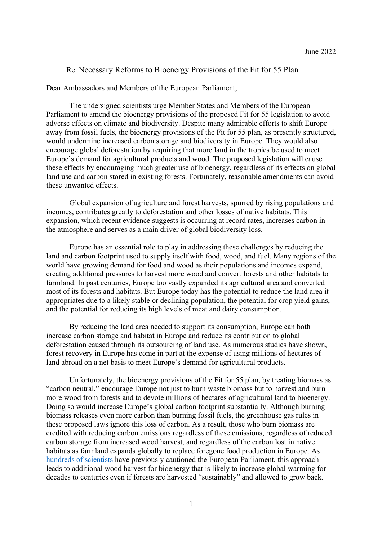# Re: Necessary Reforms to Bioenergy Provisions of the Fit for 55 Plan

Dear Ambassadors and Members of the European Parliament,

The undersigned scientists urge Member States and Members of the European Parliament to amend the bioenergy provisions of the proposed Fit for 55 legislation to avoid adverse effects on climate and biodiversity. Despite many admirable efforts to shift Europe away from fossil fuels, the bioenergy provisions of the Fit for 55 plan, as presently structured, would undermine increased carbon storage and biodiversity in Europe. They would also encourage global deforestation by requiring that more land in the tropics be used to meet Europe's demand for agricultural products and wood. The proposed legislation will cause these effects by encouraging much greater use of bioenergy, regardless of its effects on global land use and carbon stored in existing forests. Fortunately, reasonable amendments can avoid these unwanted effects.

Global expansion of agriculture and forest harvests, spurred by rising populations and incomes, contributes greatly to deforestation and other losses of native habitats. This expansion, which recent evidence suggests is occurring at record rates, increases carbon in the atmosphere and serves as a main driver of global biodiversity loss.

Europe has an essential role to play in addressing these challenges by reducing the land and carbon footprint used to supply itself with food, wood, and fuel. Many regions of the world have growing demand for food and wood as their populations and incomes expand, creating additional pressures to harvest more wood and convert forests and other habitats to farmland. In past centuries, Europe too vastly expanded its agricultural area and converted most of its forests and habitats. But Europe today has the potential to reduce the land area it appropriates due to a likely stable or declining population, the potential for crop yield gains, and the potential for reducing its high levels of meat and dairy consumption.

By reducing the land area needed to support its consumption, Europe can both increase carbon storage and habitat in Europe and reduce its contribution to global deforestation caused through its outsourcing of land use. As numerous studies have shown, forest recovery in Europe has come in part at the expense of using millions of hectares of land abroad on a net basis to meet Europe's demand for agricultural products.

Unfortunately, the bioenergy provisions of the Fit for 55 plan, by treating biomass as "carbon neutral," encourage Europe not just to burn waste biomass but to harvest and burn more wood from forests and to devote millions of hectares of agricultural land to bioenergy. Doing so would increase Europe's global carbon footprint substantially. Although burning biomass releases even more carbon than burning fossil fuels, the greenhouse gas rules in these proposed laws ignore this loss of carbon. As a result, those who burn biomass are credited with reducing carbon emissions regardless of these emissions, regardless of reduced carbon storage from increased wood harvest, and regardless of the carbon lost in native habitats as farmland expands globally to replace foregone food production in Europe. As hundreds of scientists have previously cautioned the European Parliament, this approach leads to additional wood harvest for bioenergy that is likely to increase global warming for decades to centuries even if forests are harvested "sustainably" and allowed to grow back.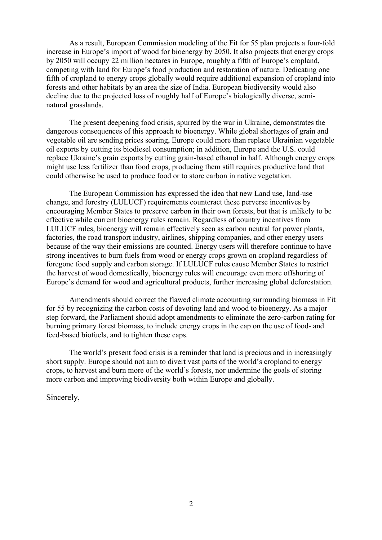As a result, European Commission modeling of the Fit for 55 plan projects a four-fold increase in Europe's import of wood for bioenergy by 2050. It also projects that energy crops by 2050 will occupy 22 million hectares in Europe, roughly a fifth of Europe's cropland, competing with land for Europe's food production and restoration of nature. Dedicating one fifth of cropland to energy crops globally would require additional expansion of cropland into forests and other habitats by an area the size of India. European biodiversity would also decline due to the projected loss of roughly half of Europe's biologically diverse, seminatural grasslands.

The present deepening food crisis, spurred by the war in Ukraine, demonstrates the dangerous consequences of this approach to bioenergy. While global shortages of grain and vegetable oil are sending prices soaring, Europe could more than replace Ukrainian vegetable oil exports by cutting its biodiesel consumption; in addition, Europe and the U.S. could replace Ukraine's grain exports by cutting grain-based ethanol in half. Although energy crops might use less fertilizer than food crops, producing them still requires productive land that could otherwise be used to produce food or to store carbon in native vegetation.

The European Commission has expressed the idea that new Land use, land-use change, and forestry (LULUCF) requirements counteract these perverse incentives by encouraging Member States to preserve carbon in their own forests, but that is unlikely to be effective while current bioenergy rules remain. Regardless of country incentives from LULUCF rules, bioenergy will remain effectively seen as carbon neutral for power plants, factories, the road transport industry, airlines, shipping companies, and other energy users because of the way their emissions are counted. Energy users will therefore continue to have strong incentives to burn fuels from wood or energy crops grown on cropland regardless of foregone food supply and carbon storage. If LULUCF rules cause Member States to restrict the harvest of wood domestically, bioenergy rules will encourage even more offshoring of Europe's demand for wood and agricultural products, further increasing global deforestation.

Amendments should correct the flawed climate accounting surrounding biomass in Fit for 55 by recognizing the carbon costs of devoting land and wood to bioenergy. As a major step forward, the Parliament should adopt amendments to eliminate the zero-carbon rating for burning primary forest biomass, to include energy crops in the cap on the use of food- and feed-based biofuels, and to tighten these caps.

The world's present food crisis is a reminder that land is precious and in increasingly short supply. Europe should not aim to divert vast parts of the world's cropland to energy crops, to harvest and burn more of the world's forests, nor undermine the goals of storing more carbon and improving biodiversity both within Europe and globally.

Sincerely,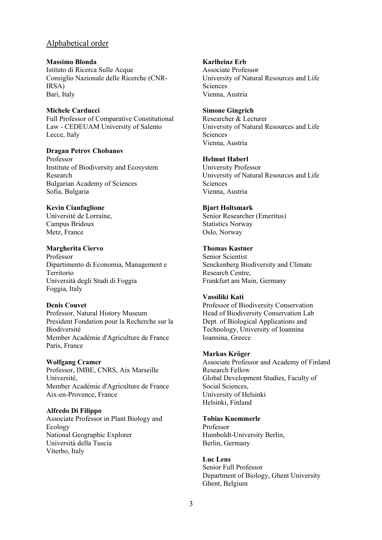# Alphabetical order

**Massimo Blonda** Istituto di Ricerca Sulle Acque Consiglio Nazionale delle Ricerche (CNR-IRSA) Bari, Italy

## **Michele Carducci**

Full Professor of Comparative Constitutional Law - CEDEUAM University of Salento Lecce, Italy

#### **Dragan Petrov Chobanov**

Professor Institute of Biodiversity and Ecosystem Research Bulgarian Academy of Sciences Sofia, Bulgaria

# **Kevin Cianfaglione**

Université de Lorraine, Campus Bridoux Metz, France

## **Margherita Ciervo**

Professor Dipartimento di Economia, Management e Territorio Università degli Studi di Foggia Foggia, Italy

## **Denis Couvet**

Professor, Natural History Museum President Fondation pour la Recherche sur la Biodiversité Member Académie d'Agriculture de France Paris, France

#### **Wolfgang Cramer**

Professor, IMBE, CNRS, Aix Marseille Université, Member Académie d'Agriculture de France Aix-en-Provence, France

#### **Alfredo Di Filippo**

Associate Professor in Plant Biology and **Ecology** National Geographic Explorer Università della Tuscia Viterbo, Italy

## **Karlheinz Erb**

Associate Professor University of Natural Resources and Life **Sciences** Vienna, Austria

## **Simone Gingrich**

Researcher & Lecturer University of Natural Resources and Life Sciences Vienna, Austria

## **Helmut Haberl**

University Professor University of Natural Resources and Life Sciences Vienna, Austria

#### **Bjart Holtsmark**

Senior Researcher (Emeritus) Statistics Norway Oslo, Norway

## **Thomas Kastner**

Senior Scientist Senckenberg Biodiversity and Climate Research Centre, Frankfurt am Main, Germany

#### **Vassiliki Kati**

Professor of Biodiversity Conservation Head of Biodiversity Conservation Lab Dept. of Biological Applications and Technology, University of Ioannina Ioannina, Greece

#### **Markus Kröger**

Associate Professor and Academy of Finland Research Fellow Global Development Studies, Faculty of Social Sciences, University of Helsinki Helsinki, Finland

## **Tobias Kuemmerle**

Professor Humboldt-University Berlin, Berlin, Germany

**Luc Lens** Senior Full Professor Department of Biology, Ghent University Ghent, Belgium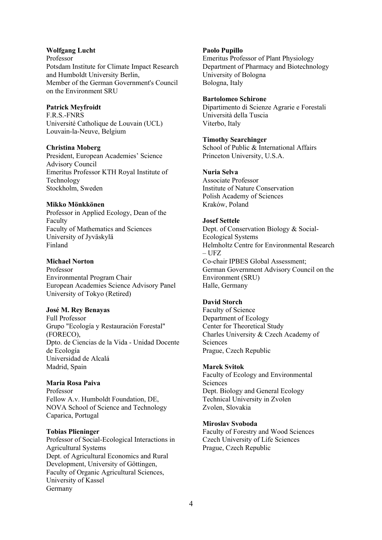## **Wolfgang Lucht**

Professor Potsdam Institute for Climate Impact Research and Humboldt University Berlin, Member of the German Government's Council on the Environment SRU

### **Patrick Meyfroidt**

F.R.S.-FNRS Université Catholique de Louvain (UCL) Louvain-la-Neuve, Belgium

#### **Christina Moberg**

President, European Academies' Science Advisory Council Emeritus Professor KTH Royal Institute of Technology Stockholm, Sweden

#### **Mikko Mönkkönen**

Professor in Applied Ecology, Dean of the Faculty Faculty of Mathematics and Sciences University of Jyväskylä Finland

## **Michael Norton**

Professor Environmental Program Chair European Academies Science Advisory Panel University of Tokyo (Retired)

## **José M. Rey Benayas**

Full Professor Grupo "Ecología y Restauración Forestal" (FORECO), Dpto. de Ciencias de la Vida - Unidad Docente de Ecología Universidad de Alcalá Madrid, Spain

#### **Maria Rosa Paiva**

Professor Fellow A.v. Humboldt Foundation, DE, NOVA School of Science and Technology Caparica, Portugal

#### **Tobias Plieninger**

Professor of Social-Ecological Interactions in Agricultural Systems Dept. of Agricultural Economics and Rural Development, University of Göttingen, Faculty of Organic Agricultural Sciences, University of Kassel Germany

#### **Paolo Pupillo**

Emeritus Professor of Plant Physiology Department of Pharmacy and Biotechnology University of Bologna Bologna, Italy

#### **Bartolomeo Schirone**

Dipartimento di Scienze Agrarie e Forestali Università della Tuscia Viterbo, Italy

## **Timothy Searchinger**

School of Public & International Affairs Princeton University, U.S.A.

#### **Nuria Selva**

Associate Professor Institute of Nature Conservation Polish Academy of Sciences Kraków, Poland

### **Josef Settele**

Dept. of Conservation Biology & Social-Ecological Systems Helmholtz Centre for Environmental Research  $-$  UFZ Co-chair IPBES Global Assessment; German Government Advisory Council on the Environment (SRU) Halle, Germany

#### **David Storch**

Faculty of Science Department of Ecology Center for Theoretical Study Charles University & Czech Academy of Sciences Prague, Czech Republic

#### **Marek Svitok**

Faculty of Ecology and Environmental Sciences Dept. Biology and General Ecology Technical University in Zvolen Zvolen, Slovakia

#### **Miroslav Svoboda**

Faculty of Forestry and Wood Sciences Czech University of Life Sciences Prague, Czech Republic